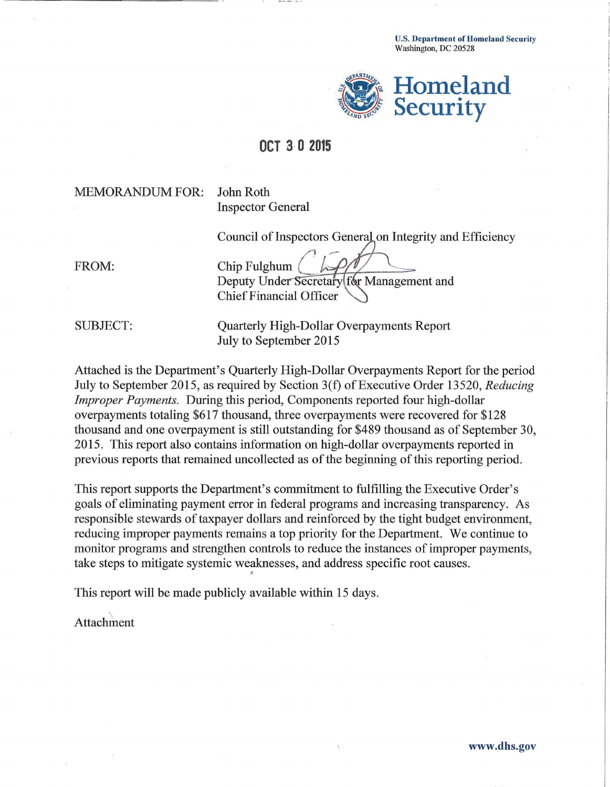U.S. Department of Homeland Security Washington, DC 20528



# **OCT 3· 0 2015**

### MEMORANDUM FOR: John Roth

Inspector General

Council of Inspectors General on Integrity and Efficiency

FROM: Chip Fulghum Deputy Under Secretary [formation] Deputy Laborer Chief Financial Officer e\_== · =!~,..--H-::T-7-::-----""~

SUBJECT: Quarterly High-Dollar Overpayments Report July to September 2015

Attached is the Department's Quarterly High-Dollar Overpayments Report for the period July to September 2015, as required by Section 3(f) of Executive Order 13520, *Reducing Improper Payments.* During this period, Components reported four high-dollar overpayments totaling \$617 thousand, three overpayments were recovered for \$128 thousand and one overpayment is still outstanding for \$489 thousand as of September 30, 2015. This report also contains information on high-dollar overpayments reported in previous reports that remained uncollected as of the beginning of this reporting period.

This report supports the Department's commitment to fulfilling the Executive Order's goals of eliminating payment error in federal programs and increasing transparency. As responsible stewards of taxpayer dollars and reinforced by the tight budget enviromnent, reducing improper payments remains a top priority for the Department. We continue to monitor programs and strengthen controls to reduce the instances of improper payments, take steps to mitigate systemic weaknesses, and address specific root causes. 2

This report will be made publicly available within 15 days.

Attachment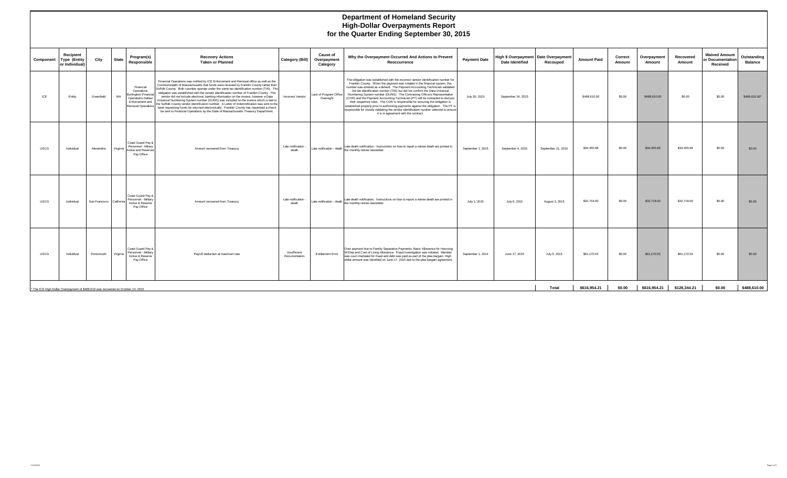#### **Department of Homeland Security High-Dollar Overpayments Report for the Quarter Ending September 30, 2015**

| Component                                                                        | Recipient<br><b>Type (Entity</b><br>or Individual) | City                     | <b>State</b> | Program(s)<br><b>Responsible</b>                                                     | <b>Recovery Actions</b><br><b>Taken or Planned</b>                                                                                                                                                                                                                                                                                                                                                                                                                                                                                                                                                                                                                                                                                                                                                                                                        | Category (Bill)               | <b>Cause of</b><br>Overpayment<br>Category | Why the Overpayment Occurred And Actions to Prevent<br>Reoccurrence                                                                                                                                                                                                                                                                                                                                                                                                                                                                                                                                                                                                                                                                                                                                     | <b>Payment Date</b> | High \$ Overpayment   Date Overpayment<br><b>Date Identified</b> | Recouped           | <b>Amount Paid</b> | Correct<br>Amount | Overpayment<br>Amount | Recovered<br>Amount | <b>Waived Amount</b><br>or Documentation<br>Received | Outstanding<br><b>Balance</b> |
|----------------------------------------------------------------------------------|----------------------------------------------------|--------------------------|--------------|--------------------------------------------------------------------------------------|-----------------------------------------------------------------------------------------------------------------------------------------------------------------------------------------------------------------------------------------------------------------------------------------------------------------------------------------------------------------------------------------------------------------------------------------------------------------------------------------------------------------------------------------------------------------------------------------------------------------------------------------------------------------------------------------------------------------------------------------------------------------------------------------------------------------------------------------------------------|-------------------------------|--------------------------------------------|---------------------------------------------------------------------------------------------------------------------------------------------------------------------------------------------------------------------------------------------------------------------------------------------------------------------------------------------------------------------------------------------------------------------------------------------------------------------------------------------------------------------------------------------------------------------------------------------------------------------------------------------------------------------------------------------------------------------------------------------------------------------------------------------------------|---------------------|------------------------------------------------------------------|--------------------|--------------------|-------------------|-----------------------|---------------------|------------------------------------------------------|-------------------------------|
| ICE                                                                              | Entity                                             | Greenfield               | MA           | Financial<br>Operations<br>Burlington/ Financial<br>Operations Dallas/               | Financial Operations was notified by ICE Enforcement and Removal office as well as the<br>Commonwealth of Massachusetts that funds were received by Franklin County rather than<br>Suffolk County. Both counties operate under the same tax identification number (TIN). The<br>obligation was established with the vendor identification number of Franklin County. The<br>vendor did not include electronic banking information on the invoice, however a Data<br>Universal Numbering System number (DUNS) was included on the invoice which is tied to<br>Consequent and the Suffolk County vendor identification number. A Letter of Indemnification was sent to the<br>bank requesting funds be returned electronically. Franklin County has requested a check<br>be sent to Financial Operations by the State of Massachusetts Treasury Department. | Incorrect Vendor              | Lack of Program Office<br>Oversight        | The obligation was established with the incorrect vendor identification number for<br>Franklin County. When the payment was created in the financial system, this<br>number was entered as a default. The Payment Accounting Technician validated<br>the tax identification number (TIN) but did not confirm the Data Universal<br>Numbering System number (DUNS). The Contracting Officers Representative<br>(COR) and the Payment Accounting Technician (PT) will be contacted to discuss<br>their respective roles. The COR is responsible for ensuring the obligation is<br>established properly prior to authorizing payments against the obligation. The PT is<br>responsible for closely validating the vendor identification number selected to ensure<br>it is in agreement with the contract. | July 30, 2015       | September 24, 2015                                               |                    | \$488,610.00       | \$0.00            | \$488,610.00          | \$0.00              | \$0.00                                               | \$488,610.00*                 |
| <b>USCG</b>                                                                      | Individual                                         | Alexandria               | Virginia     | Coast Guard Pav &<br>Personnel - Miliary<br><b>Active and Reserves</b><br>Pay Office | Amount recovered from Treasury                                                                                                                                                                                                                                                                                                                                                                                                                                                                                                                                                                                                                                                                                                                                                                                                                            | Late notification -<br>death  |                                            | Late notification - death   Late death notification - Instructions on how to report a retiree death are printed in<br>the monthly retiree newsletter.                                                                                                                                                                                                                                                                                                                                                                                                                                                                                                                                                                                                                                                   | September 1, 2015   | September 4, 2015                                                | September 21, 2015 | \$34,455.68        | \$0.00            | \$34,455.68           | \$34,455.68         | \$0.00                                               | \$0.00                        |
| <b>USCG</b>                                                                      | Individual                                         | San Francisco California |              | Coast Guard Pay &<br>Personnel - Military<br>Active & Reserve<br>Pay Office          | Amount recovered from Treasury                                                                                                                                                                                                                                                                                                                                                                                                                                                                                                                                                                                                                                                                                                                                                                                                                            | Late notification -<br>death  |                                            | Late notification - death Late death notification. Instructions on how to report a retiree death are printed in<br>the monthly reitree newsletter.                                                                                                                                                                                                                                                                                                                                                                                                                                                                                                                                                                                                                                                      | July 1, 2015        | July 6, 2015                                                     | August 3, 2015     | \$32,718.00        | \$0.00            | \$32,718.00           | \$32,718.00         | \$0.00                                               | \$0.00                        |
| <b>USCG</b>                                                                      | Individual                                         | Portsmouth               | Virginia     | Coast Guard Pay &<br>Personnel - Military<br>Active & Reserve<br>Pay Office          | Payroll deduction at maximum rate                                                                                                                                                                                                                                                                                                                                                                                                                                                                                                                                                                                                                                                                                                                                                                                                                         | Insufficient<br>Documentation | <b>Entitlement Error</b>                   | Over payment due to Familiy Separation Payments, Basic Allowance for Hoursing<br>W/Dep and Cost of Living Allowance. Fraud investigation was initiated. Member<br>was court martialed for fraud and debt was paid as part of the plea bargain. High<br>dollar amount was identified on June 17, 2015 due to the plea bargain agreement.                                                                                                                                                                                                                                                                                                                                                                                                                                                                 | September 1, 2014   | June 17, 2015                                                    | July 6, 2015       | \$61,170.53        | \$0.00            | \$61,170.53           | \$61,170.53         | \$0.00                                               | \$0.00                        |
| * The ICE High Dollar Overpayment of \$488.610 was recovered on October 14, 2015 |                                                    |                          |              |                                                                                      |                                                                                                                                                                                                                                                                                                                                                                                                                                                                                                                                                                                                                                                                                                                                                                                                                                                           |                               |                                            |                                                                                                                                                                                                                                                                                                                                                                                                                                                                                                                                                                                                                                                                                                                                                                                                         |                     |                                                                  | Total              | \$616.954.21       | \$0.00            | \$616.954.21          | \$128.344.21        | \$0.00                                               | \$488.610.00                  |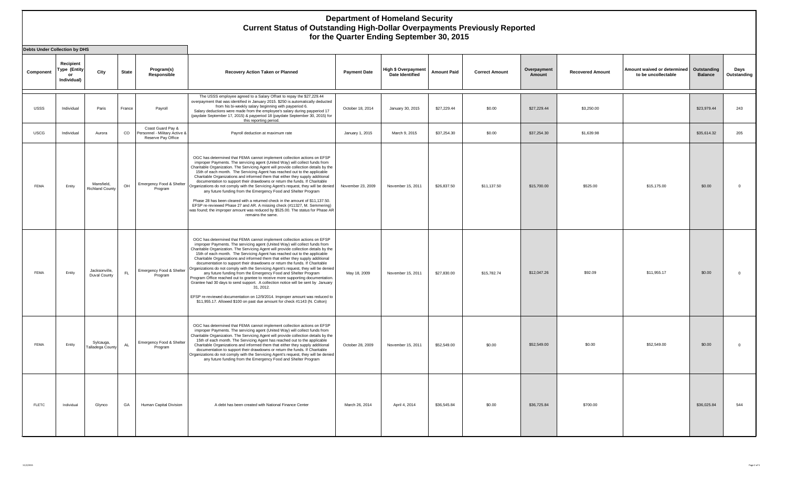| <b>Debts Under Collection by DHS</b> |                                                |                                      |              |                                                                          |                                                                                                                                                                                                                                                                                                                                                                                                                                                                                                                                                                                                                                                                                                                                                                                                                                                                                                                                                                                                      |                     |                                               |                    |                       |                       |                         |                                                    |                               |                     |
|--------------------------------------|------------------------------------------------|--------------------------------------|--------------|--------------------------------------------------------------------------|------------------------------------------------------------------------------------------------------------------------------------------------------------------------------------------------------------------------------------------------------------------------------------------------------------------------------------------------------------------------------------------------------------------------------------------------------------------------------------------------------------------------------------------------------------------------------------------------------------------------------------------------------------------------------------------------------------------------------------------------------------------------------------------------------------------------------------------------------------------------------------------------------------------------------------------------------------------------------------------------------|---------------------|-----------------------------------------------|--------------------|-----------------------|-----------------------|-------------------------|----------------------------------------------------|-------------------------------|---------------------|
| Component                            | Recipient<br>Type (Entity<br>or<br>Individual) | City                                 | <b>State</b> | Program(s)<br>Responsible                                                | Recovery Action Taken or Planned                                                                                                                                                                                                                                                                                                                                                                                                                                                                                                                                                                                                                                                                                                                                                                                                                                                                                                                                                                     | <b>Payment Date</b> | High \$ Overpayment<br><b>Date Identified</b> | <b>Amount Paid</b> | <b>Correct Amount</b> | Overpayment<br>Amount | <b>Recovered Amount</b> | Amount waived or determined<br>to be uncollectable | Outstanding<br><b>Balance</b> | Days<br>Outstanding |
| <b>USSS</b>                          | Individual                                     | Paris                                | France       | Payroll                                                                  | The USSS employee agreed to a Salary Offset to repay the \$27,229.44<br>overpayment that was identified in January 2015. \$250 is automatically deducted<br>from his bi-weekly salary beginning with payperiod 6.<br>Salary deductions were made from the employee's salary during payperiod 17<br>(paydate September 17, 2015) & payperiod 18 (paydate September 30, 2015) for<br>this reporting period.                                                                                                                                                                                                                                                                                                                                                                                                                                                                                                                                                                                            | October 18, 2014    | January 30, 2015                              | \$27,229.44        | \$0.00                | \$27,229.44           | \$3,250.00              |                                                    | \$23,979.44                   | 243                 |
| <b>USCG</b>                          | Individual                                     | Aurora                               | CO           | Coast Guard Pay &<br>Personnel - Military Active &<br>Reserve Pay Office | Payroll deduction at maximum rate                                                                                                                                                                                                                                                                                                                                                                                                                                                                                                                                                                                                                                                                                                                                                                                                                                                                                                                                                                    | January 1, 2015     | March 9, 2015                                 | \$37,254.30        | \$0.00                | \$37,254.30           | \$1,639.98              |                                                    | \$35,614.32                   | 205                 |
| FEMA                                 | Entity                                         | Mansfield,<br><b>Richland County</b> | OH           | Emergency Food & Shelter<br>Program                                      | OGC has determined that FEMA cannot implement collection actions on EFSP<br>improper Payments. The servicing agent (United Way) will collect funds from<br>Charitable Organization. The Servicing Agent will provide collection details by the<br>15th of each month. The Servicing Agent has reached out to the applicable<br>Charitable Organizations and informed them that either they supply additional<br>documentation to support their drawdowns or return the funds. If Charitable<br>Organizations do not comply with the Servicing Agent's request, they will be denied<br>any future funding from the Emergency Food and Shelter Program<br>Phase 28 has been cleared with a returned check in the amount of \$11,137.50.<br>EFSP re-reviewed Phase 27 and AR. A missing check (#11327, M. Semmering)<br>was found; the improper amount was reduced by \$525.00. The status for Phase AR<br>remains the same.                                                                            | November 23, 2009   | November 15, 2011                             | \$26,837.50        | \$11,137.50           | \$15,700.00           | \$525.00                | \$15,175.00                                        | \$0.00                        | $\overline{0}$      |
| FEMA                                 | Entity                                         | Jacksonville,<br>Duval County        | FL.          | Emergency Food & Shelter<br>Program                                      | OGC has determined that FEMA cannot implement collection actions on EFSP<br>improper Payments. The servicing agent (United Way) will collect funds from<br>Charitable Organization. The Servicing Agent will provide collection details by the<br>15th of each month. The Servicing Agent has reached out to the applicable<br>Charitable Organizations and informed them that either they supply additional<br>documentation to support their drawdowns or return the funds. If Charitable<br>Organizations do not comply with the Servicing Agent's request, they will be denied<br>any future funding from the Emergency Food and Shelter Program<br>Program Office reached out to grantee to receive more supporting documentation.<br>Grantee had 30 days to send support. A collection notice will be sent by January<br>31, 2012.<br>EFSP re-reviewed documentation on 12/9/2014. Improper amount was reduced to<br>\$11,955.17. Allowed \$100 on past due amount for check #1143 (N. Colton) | May 18, 2009        | November 15, 2011                             | \$27,830.00        | \$15,782,74           | \$12,047.26           | \$92.09                 | \$11,955.17                                        | \$0.00                        | $\overline{0}$      |
| FEMA                                 | Entity                                         | Sylcauga,<br>Talladega County        | <b>AL</b>    | Emergency Food & Shelter<br>Program                                      | OGC has determined that FEMA cannot implement collection actions on EFSP<br>improper Payments. The servicing agent (United Way) will collect funds from<br>Charitable Organization. The Servicing Agent will provide collection details by the<br>15th of each month. The Servicing Agent has reached out to the applicable<br>Charitable Organizations and informed them that either they supply additional<br>documentation to support their drawdowns or return the funds. If Charitable<br>Organizations do not comply with the Servicing Agent's request, they will be denied<br>any future funding from the Emergency Food and Shelter Program                                                                                                                                                                                                                                                                                                                                                 | October 28, 2009    | November 15, 2011                             | \$52,549.00        | \$0.00                | \$52,549.00           | \$0.00                  | \$52,549.00                                        | \$0.00                        | $\overline{0}$      |
| <b>FLETC</b>                         | Individual                                     | Glynco                               | GA           | Human Capital Division                                                   | A debt has been created with National Finance Center                                                                                                                                                                                                                                                                                                                                                                                                                                                                                                                                                                                                                                                                                                                                                                                                                                                                                                                                                 | March 26, 2014      | April 4, 2014                                 | \$36,545.84        | \$0.00                | \$36,725.84           | \$700.00                |                                                    | \$36,025.84                   | 544                 |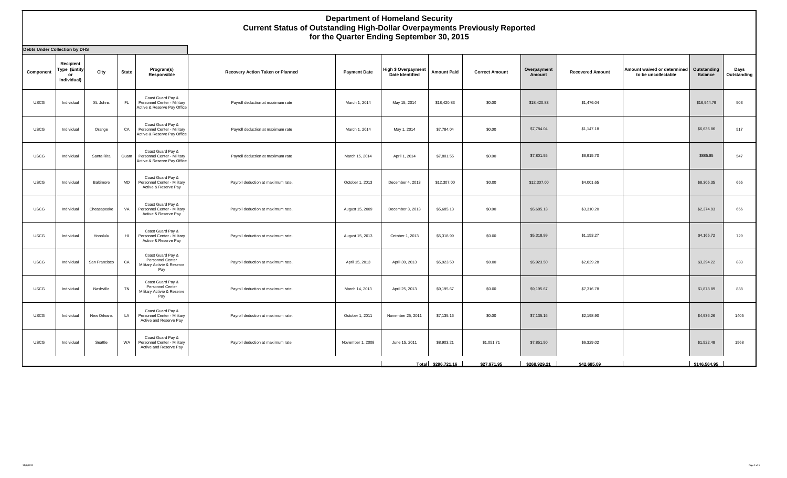| <b>Debts Under Collection by DHS</b> |                                                       |               |           |                                                                                 |                                    |                     |                                                      |                    |                       |                       |                         |                                                    |                               |                     |
|--------------------------------------|-------------------------------------------------------|---------------|-----------|---------------------------------------------------------------------------------|------------------------------------|---------------------|------------------------------------------------------|--------------------|-----------------------|-----------------------|-------------------------|----------------------------------------------------|-------------------------------|---------------------|
| Component                            | Recipient<br><b>Type (Entity</b><br>or<br>Individual) | City          | State     | Program(s)<br>Responsible                                                       | Recovery Action Taken or Planned   | <b>Payment Date</b> | <b>High \$ Overpayment</b><br><b>Date Identified</b> | <b>Amount Paid</b> | <b>Correct Amount</b> | Overpayment<br>Amount | <b>Recovered Amount</b> | Amount waived or determined<br>to be uncollectable | Outstanding<br><b>Balance</b> | Days<br>Outstanding |
| <b>USCG</b>                          | Individual                                            | St. Johns     | FL.       | Coast Guard Pay &<br>Personnel Center - Military<br>Active & Reserve Pay Office | Payroll deduction at maximum rate  | March 1, 2014       | May 15, 2014                                         | \$18,420.83        | \$0.00                | \$18,420.83           | \$1,476.04              |                                                    | \$16,944.79                   | 503                 |
| <b>USCG</b>                          | Individual                                            | Orange        | CA        | Coast Guard Pay &<br>Personnel Center - Military<br>Active & Reserve Pay Office | Payroll deduction at maximum rate  | March 1, 2014       | May 1, 2014                                          | \$7,784.04         | \$0.00                | \$7,784.04            | \$1,147.18              |                                                    | \$6,636.86                    | 517                 |
| <b>USCG</b>                          | Individual                                            | Santa Rita    | Guam      | Coast Guard Pay &<br>Personnel Center - Military<br>Active & Reserve Pay Office | Payroll deduction at maximum rate  | March 15, 2014      | April 1, 2014                                        | \$7,801.55         | \$0.00                | \$7,801.55            | \$6,915.70              |                                                    | \$885.85                      | 547                 |
| <b>USCG</b>                          | Individual                                            | Baltimore     | <b>MD</b> | Coast Guard Pay &<br>Personnel Center - Military<br>Active & Reserve Pay        | Payroll deduction at maximum rate. | October 1, 2013     | December 4, 2013                                     | \$12,307.00        | \$0.00                | \$12,307.00           | \$4,001.65              |                                                    | \$8,305.35                    | 665                 |
| <b>USCG</b>                          | Individual                                            | Cheasapeake   | VA        | Coast Guard Pay &<br>Personnel Center - Military<br>Active & Reserve Pay        | Payroll deduction at maximum rate. | August 15, 2009     | December 3, 2013                                     | \$5,685.13         | \$0.00                | \$5,685.13            | \$3,310.20              |                                                    | \$2,374.93                    | 666                 |
| <b>USCG</b>                          | Individual                                            | Honolulu      | H1        | Coast Guard Pay &<br>Personnel Center - Military<br>Active & Reserve Pay        | Payroll deduction at maximum rate. | August 15, 2013     | October 1, 2013                                      | \$5,318.99         | \$0.00                | \$5,318.99            | \$1,153.27              |                                                    | \$4,165.72                    | 729                 |
| <b>USCG</b>                          | Individual                                            | San Francisco | CA        | Coast Guard Pay &<br>Personnel Center<br>Military Activie & Reserve<br>Pay      | Payroll deduction at maximum rate. | April 15, 2013      | April 30, 2013                                       | \$5,923.50         | \$0.00                | \$5,923.50            | \$2,629.28              |                                                    | \$3,294.22                    | 883                 |
| <b>USCG</b>                          | Individual                                            | Nashville     | TN        | Coast Guard Pay &<br>Personnel Center<br>Military Activie & Reserve<br>Pay      | Payroll deduction at maximum rate. | March 14, 2013      | April 25, 2013                                       | \$9,195.67         | \$0.00                | \$9,195.67            | \$7,316.78              |                                                    | \$1,878.89                    | 888                 |
| <b>USCG</b>                          | Individual                                            | New Orleans   | LA        | Coast Guard Pay &<br>Personnel Center - Military<br>Active and Reserve Pay      | Payroll deduction at maximum rate. | October 1, 2011     | November 25, 2011                                    | \$7,135.16         | \$0.00                | \$7,135.16            | \$2,198.90              |                                                    | \$4,936.26                    | 1405                |
| <b>USCG</b>                          | Individual                                            | Seattle       | WA        | Coast Guard Pay &<br>Personnel Center - Military<br>Active and Reserve Pay      | Payroll deduction at maximum rate. | November 1, 2008    | June 15, 2011                                        | \$8,903.21         | \$1,051.71            | \$7,851.50            | \$6,329.02              |                                                    | \$1,522.48                    | 1568                |
|                                      |                                                       |               |           |                                                                                 |                                    |                     |                                                      | Total \$296,721.16 | \$27,971.95           | \$268,929.21          | \$42,685.09             |                                                    | \$146,564.95                  |                     |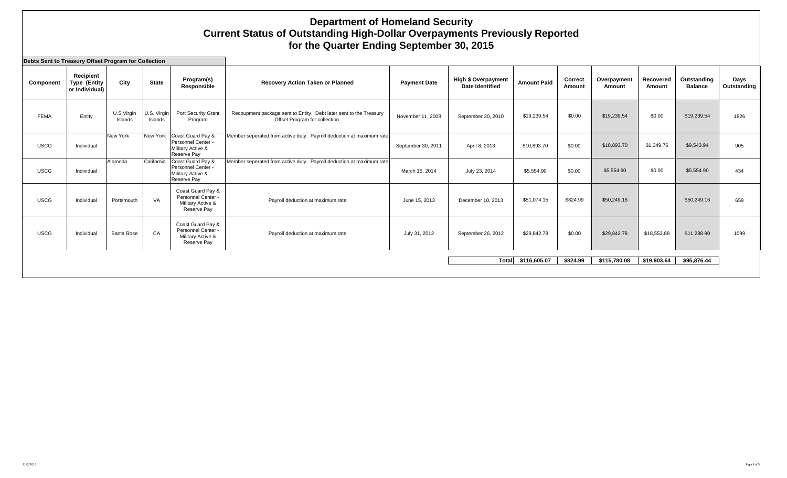| Debts Sent to Treasury Offset Program for Collection |                                                    |                       |                        |                                                                             |                                                                                                      |                     |                                                      |                    |                   |                       |                     |                               |                     |
|------------------------------------------------------|----------------------------------------------------|-----------------------|------------------------|-----------------------------------------------------------------------------|------------------------------------------------------------------------------------------------------|---------------------|------------------------------------------------------|--------------------|-------------------|-----------------------|---------------------|-------------------------------|---------------------|
| Component                                            | Recipient<br><b>Type (Entity</b><br>or Individual) | City                  | <b>State</b>           | Program(s)<br>Responsible                                                   | <b>Recovery Action Taken or Planned</b>                                                              | <b>Payment Date</b> | <b>High \$ Overpayment</b><br><b>Date Identified</b> | <b>Amount Paid</b> | Correct<br>Amount | Overpayment<br>Amount | Recovered<br>Amount | Outstanding<br><b>Balance</b> | Days<br>Outstanding |
| <b>FEMA</b>                                          | Entity                                             | U.S Virgin<br>Islands | U.S. Virgin<br>Islands | Port Security Grant<br>Program                                              | Recoupment package sent to Entity. Debt later sent to the Treasury<br>Offset Program for collection. | November 11, 2008   | September 30, 2010                                   | \$19,239.54        | \$0.00            | \$19,239.54           | \$0.00              | \$19,239.54                   | 1826                |
| <b>USCG</b>                                          | Individual                                         | New York              | New York               | Coast Guard Pay &<br>Personnel Center -<br>Military Active &<br>Reserve Pay | Member seperated from active duty. Payroll deduction at maximum rate                                 | September 30, 2011  | April 8, 2013                                        | \$10,893.70        | \$0.00            | \$10,893.70           | \$1,349.76          | \$9,543.94                    | 905                 |
| <b>USCG</b>                                          | Individual                                         | Alameda               | California             | Coast Guard Pay &<br>Personnel Center -<br>Military Active &<br>Reserve Pay | Member seperated from active duty. Payroll deduction at maximum rate                                 | March 15, 2014      | July 23, 2014                                        | \$5,554.90         | \$0.00            | \$5,554.90            | \$0.00              | \$5,554.90                    | 434                 |
| <b>USCG</b>                                          | Individual                                         | Portsmouth            | VA                     | Coast Guard Pay &<br>Personnel Center -<br>Military Active &<br>Reserve Pay | Payroll deduction at maximum rate                                                                    | June 15, 2013       | December 10, 2013                                    | \$51,074.15        | \$824.99          | \$50,249.16           |                     | \$50,249.16                   | 659                 |
| <b>USCG</b>                                          | Individual                                         | Santa Rose            | CA                     | Coast Guard Pay &<br>Personnel Center -<br>Military Active &<br>Reserve Pay | Payroll deduction at maximum rate                                                                    | July 31, 2012       | September 26, 2012                                   | \$29,842.78        | \$0.00            | \$29,842.78           | \$18,553.88         | \$11,288.90                   | 1099                |
|                                                      |                                                    |                       |                        |                                                                             |                                                                                                      |                     | Total                                                | \$116,605.07       | \$824.99          | \$115,780.08          | \$19,903.64         | \$95,876.44                   |                     |
|                                                      |                                                    |                       |                        |                                                                             |                                                                                                      |                     |                                                      |                    |                   |                       |                     |                               |                     |